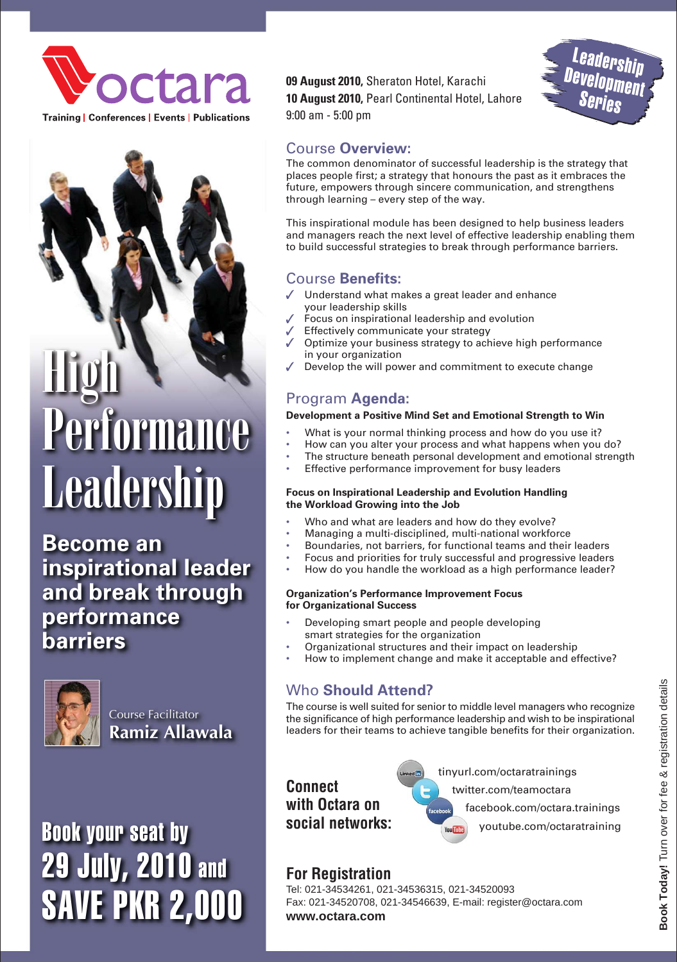

**Training | Conferences | Events | Publications** 

High Performance **Leadership** 

**Become an inspirational leader and break through performance barriers**



Course Facilitator **Ramiz Allawala**

Book your seat by 29 July, 2010 and SAVE PKR 2,000 **09 August 2010,** Sheraton Hotel, Karachi **10 August 2010,** Pearl Continental Hotel, Lahore 9:00 am - 5:00 pm



# Course **Overview:**

The common denominator of successful leadership is the strategy that places people first; a strategy that honours the past as it embraces the future, empowers through sincere communication, and strengthens through learning – every step of the way.

This inspirational module has been designed to help business leaders and managers reach the next level of effective leadership enabling them to build successful strategies to break through performance barriers.

## Course **Benefits:**

- Understand what makes a great leader and enhance your leadership skills
- Focus on inspirational leadership and evolution
- Effectively communicate your strategy
- Optimize your business strategy to achieve high performance in your organization
- Develop the will power and commitment to execute change

# Program **Agenda:**

## **Development a Positive Mind Set and Emotional Strength to Win**

- What is your normal thinking process and how do you use it?
- How can you alter your process and what happens when you do?
- The structure beneath personal development and emotional strength
- Effective performance improvement for busy leaders

#### **Focus on Inspirational Leadership and Evolution Handling the Workload Growing into the Job**

- Who and what are leaders and how do they evolve?
	- Managing a multi-disciplined, multi-national workforce
- Boundaries, not barriers, for functional teams and their leaders
- Focus and priorities for truly successful and progressive leaders
- How do you handle the workload as a high performance leader?

#### **Organization's Performance Improvement Focus for Organizational Success**

- Developing smart people and people developing smart strategies for the organization
- Organizational structures and their impact on leadership
- How to implement change and make it acceptable and effective?

# Who **Should Attend?**

The course is well suited for senior to middle level managers who recognize the significance of high performance leadership and wish to be inspirational leaders for their teams to achieve tangible benefits for their organization.

**Connect with Octara on social networks:** tinyurl.com/octaratrainings facebook.com/octara.trainings twitter.com/teamoctara youtube.com/octaratraining

# **For Registration**

Tel: 021-34534261, 021-34536315, 021-34520093 Fax: 021-34520708, 021-34546639, E-mail: register@octara.com **www.octara.com**